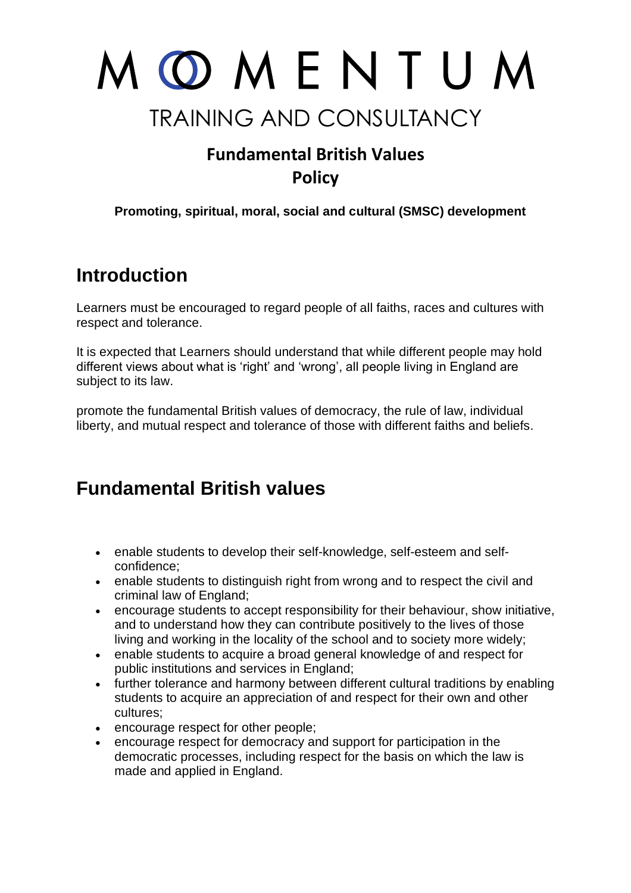

## **Fundamental British Values Policy**

**Promoting, spiritual, moral, social and cultural (SMSC) development**

## **Introduction**

Learners must be encouraged to regard people of all faiths, races and cultures with respect and tolerance.

It is expected that Learners should understand that while different people may hold different views about what is 'right' and 'wrong', all people living in England are subject to its law.

promote the fundamental British values of democracy, the rule of law, individual liberty, and mutual respect and tolerance of those with different faiths and beliefs.

## **Fundamental British values**

- enable students to develop their self-knowledge, self-esteem and selfconfidence;
- enable students to distinguish right from wrong and to respect the civil and criminal law of England;
- encourage students to accept responsibility for their behaviour, show initiative, and to understand how they can contribute positively to the lives of those living and working in the locality of the school and to society more widely;
- enable students to acquire a broad general knowledge of and respect for public institutions and services in England;
- further tolerance and harmony between different cultural traditions by enabling students to acquire an appreciation of and respect for their own and other cultures;
- encourage respect for other people;
- encourage respect for democracy and support for participation in the democratic processes, including respect for the basis on which the law is made and applied in England.